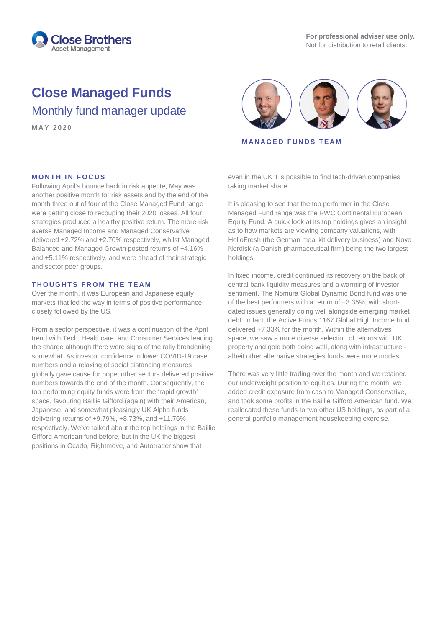

# **Close Managed Funds**

Monthly fund manager update



**MANAGED FUNDS TEAM**

## **MONTH IN FOCUS**

Following April's bounce back in risk appetite, May was another positive month for risk assets and by the end of the month three out of four of the Close Managed Fund range were getting close to recouping their 2020 losses. All four strategies produced a healthy positive return. The more risk averse Managed Income and Managed Conservative delivered +2.72% and +2.70% respectively, whilst Managed Balanced and Managed Growth posted returns of +4.16% and +5.11% respectively, and were ahead of their strategic and sector peer groups.

## **THOUGHTS FROM THE TEAM**

Over the month, it was European and Japanese equity markets that led the way in terms of positive performance, closely followed by the US.

From a sector perspective, it was a continuation of the April trend with Tech, Healthcare, and Consumer Services leading the charge although there were signs of the rally broadening somewhat. As investor confidence in lower COVID-19 case numbers and a relaxing of social distancing measures globally gave cause for hope, other sectors delivered positive numbers towards the end of the month. Consequently, the top performing equity funds were from the 'rapid growth' space, favouring Baillie Gifford (again) with their American, Japanese, and somewhat pleasingly UK Alpha funds delivering returns of +9.79%, +8.73%, and +11.76% respectively. We've talked about the top holdings in the Baillie Gifford American fund before, but in the UK the biggest positions in Ocado, Rightmove, and Autotrader show that

even in the UK it is possible to find tech-driven companies taking market share.

It is pleasing to see that the top performer in the Close Managed Fund range was the RWC Continental European Equity Fund. A quick look at its top holdings gives an insight as to how markets are viewing company valuations, with HelloFresh (the German meal kit delivery business) and Novo Nordisk (a Danish pharmaceutical firm) being the two largest holdings.

In fixed income, credit continued its recovery on the back of central bank liquidity measures and a warming of investor sentiment. The Nomura Global Dynamic Bond fund was one of the best performers with a return of +3.35%, with shortdated issues generally doing well alongside emerging market debt. In fact, the Active Funds 1167 Global High Income fund delivered +7.33% for the month. Within the alternatives space, we saw a more diverse selection of returns with UK property and gold both doing well, along with infrastructure albeit other alternative strategies funds were more modest.

There was very little trading over the month and we retained our underweight position to equities. During the month, we added credit exposure from cash to Managed Conservative, and took some profits in the Baillie Gifford American fund. We reallocated these funds to two other US holdings, as part of a general portfolio management housekeeping exercise.